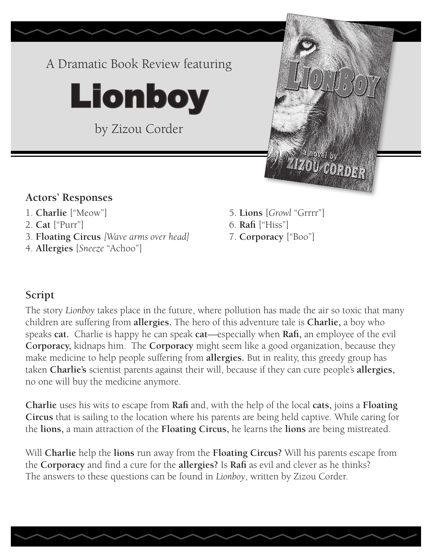

- 
- 2. **Cat** ["Purr"] 6. **Rafi** ["Hiss"]
- 3. **Floating Circus** *[Wave arms over head]* 7. **Corporacy** ["Boo"]
- 4. **Allergies** [*Sneeze* "Achoo"]
- 1. **Charlie** ["Meow"] 5. **Lions** [*Growl* "Grrrr"]
	-
	-

### **Script**

The story *Lionboy* takes place in the future, where pollution has made the air so toxic that many children are suffering from **allergies.** The hero of this adventure tale is **Charlie,** a boy who speaks **cat.** Charlie is happy he can speak **cat**—especially when **Rafi,** an employee of the evil **Corporacy,** kidnaps him. The **Corporacy** might seem like a good organization, because they make medicine to help people suffering from **allergies.** But in reality, this greedy group has taken **Charlie's** scientist parents against their will, because if they can cure people's **allergies,**  no one will buy the medicine anymore.

**Charlie** uses his wits to escape from **Rafi** and, with the help of the local **cats,** joins a **Floating Circus** that is sailing to the location where his parents are being held captive. While caring for the **lions,** a main attraction of the **Floating Circus,** he learns the **lions** are being mistreated.

Will **Charlie** help the **lions** run away from the **Floating Circus?** Will his parents escape from the **Corporacy** and find a cure for the **allergies?** Is **Rafi** as evil and clever as he thinks? The answers to these questions can be found in *Lionboy*, written by Zizou Corder.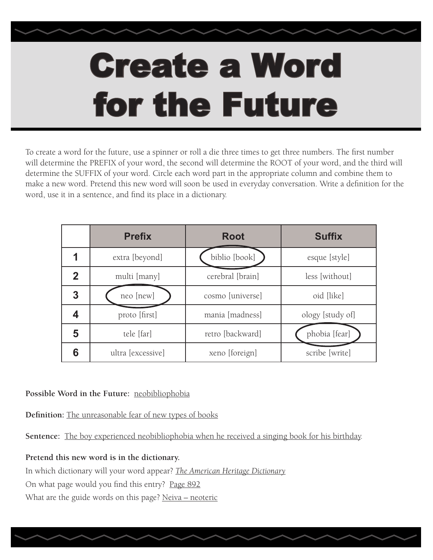# Create a Word for the Future

To create a word for the future, use a spinner or roll a die three times to get three numbers. The first number will determine the PREFIX of your word, the second will determine the ROOT of your word, and the third will determine the SUFFIX of your word. Circle each word part in the appropriate column and combine them to make a new word. Pretend this new word will soon be used in everyday conversation. Write a definition for the word, use it in a sentence, and find its place in a dictionary.

|   | <b>Prefix</b>     | <b>Root</b>      | <b>Suffix</b>    |
|---|-------------------|------------------|------------------|
|   | extra [beyond]    | biblio [book]    | esque [style]    |
| 2 | multi [many]      | cerebral [brain] | less [without]   |
| 3 | neo [new]         | cosmo [universe] | oid [like]       |
|   | proto [first]     | mania [madness]  | ology [study of] |
| 5 | tele [far]        | retro [backward] | phobia [fear]    |
| 6 | ultra [excessive] | xeno [foreign]   | scribe [write]   |

### **Possible Word in the Future:** neobibliophobia

**Definition:** The unreasonable fear of new types of books

**Sentence:** The boy experienced neobibliophobia when he received a singing book for his birthday.

### **Pretend this new word is in the dictionary.**

In which dictionary will your word appear? *The American Heritage Dictionary* On what page would you find this entry? Page 892 What are the guide words on this page? Neiva - neoteric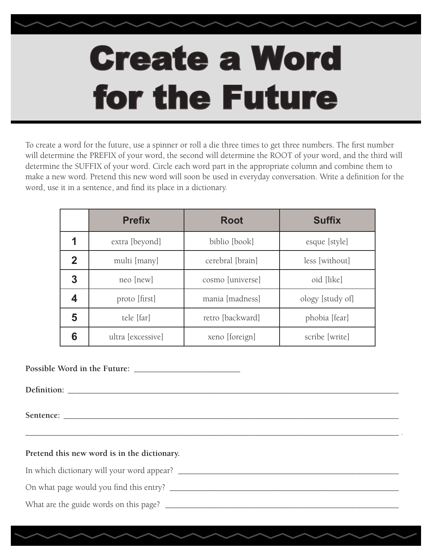# Create a Word for the Future

To create a word for the future, use a spinner or roll a die three times to get three numbers. The first number will determine the PREFIX of your word, the second will determine the ROOT of your word, and the third will determine the SUFFIX of your word. Circle each word part in the appropriate column and combine them to make a new word. Pretend this new word will soon be used in everyday conversation. Write a definition for the word, use it in a sentence, and find its place in a dictionary.

|             | <b>Prefix</b>     | <b>Root</b>      | <b>Suffix</b>    |  |
|-------------|-------------------|------------------|------------------|--|
|             | extra [beyond]    | biblio [book]    | esque [style]    |  |
| $\mathbf 2$ | multi [many]      | cerebral [brain] | less [without]   |  |
| 3           | neo [new]         | cosmo [universe] | oid [like]       |  |
|             | proto [first]     | mania [madness]  | ology [study of] |  |
| 5           | tele [far]        | retro [backward] | phobia [fear]    |  |
| 6           | ultra [excessive] | xeno [foreign]   | scribe [write]   |  |

\_\_\_\_\_\_\_\_\_\_\_\_\_\_\_\_\_\_\_\_\_\_\_\_\_\_\_\_\_\_\_\_\_\_\_\_\_\_\_\_\_\_\_\_\_\_\_\_\_\_\_\_\_\_\_\_\_\_\_\_\_\_\_\_\_\_\_\_\_\_\_\_\_\_\_\_\_\_\_\_\_\_\_\_\_\_\_\_ .

**Possible Word in the Future:** \_\_\_\_\_\_\_\_\_\_\_\_\_\_\_\_\_\_\_\_\_\_\_\_\_

Definition:

Sentence:

**Pretend this new word is in the dictionary.**

In which dictionary will your word appear? \_\_\_\_\_\_\_\_\_\_\_\_\_\_\_\_\_\_\_\_\_\_\_\_\_\_\_\_\_\_\_\_\_\_\_\_\_\_\_\_\_\_\_\_\_\_\_\_\_\_\_\_

On what page would you find this entry? \_\_\_\_\_\_\_\_\_\_\_\_\_\_\_\_\_\_\_\_\_\_\_\_\_\_\_\_\_\_\_\_\_\_\_\_\_\_\_\_\_\_\_\_\_\_\_\_\_\_\_\_\_\_

What are the guide words on this page? \_\_\_\_\_\_\_\_\_\_\_\_\_\_\_\_\_\_\_\_\_\_\_\_\_\_\_\_\_\_\_\_\_\_\_\_\_\_\_\_\_\_\_\_\_\_\_\_\_\_\_\_\_\_\_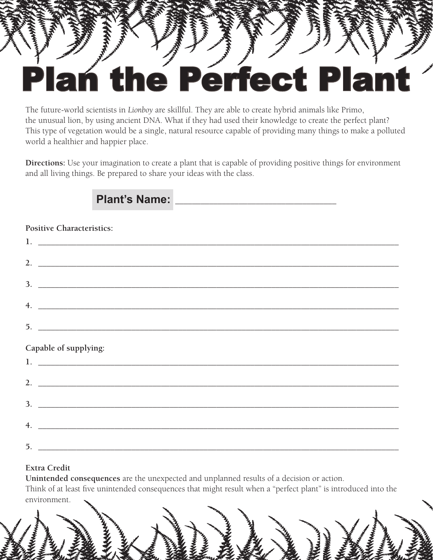## the Perfect Plan

The future-world scientists in *Lionboy* are skillful. They are able to create hybrid animals like Primo, the unusual lion, by using ancient DNA. What if they had used their knowledge to create the perfect plant? This type of vegetation would be a single, natural resource capable of providing many things to make a polluted world a healthier and happier place.

**Directions:** Use your imagination to create a plant that is capable of providing positive things for environment and all living things. Be prepared to share your ideas with the class.

### Plant's Name:

#### **Positive Characteristics:**

|                | 2. $\overline{\phantom{a}}$                                                                                           |  |  |  |
|----------------|-----------------------------------------------------------------------------------------------------------------------|--|--|--|
|                | $3.$ $\overline{\phantom{a}}$                                                                                         |  |  |  |
|                |                                                                                                                       |  |  |  |
|                | 4. $\overline{\phantom{a}}$                                                                                           |  |  |  |
|                |                                                                                                                       |  |  |  |
|                | Capable of supplying:                                                                                                 |  |  |  |
|                | 1. $\overline{\phantom{a}}$                                                                                           |  |  |  |
|                | 2. $\qquad \qquad$                                                                                                    |  |  |  |
|                | 3.                                                                                                                    |  |  |  |
| $\overline{4}$ | <u> 1980 - Andrea Barbara, amerikana amerikana amerikana amerikana amerikana amerikana amerikana amerikana amerik</u> |  |  |  |
|                | $5.$ $\overline{\phantom{a}}$                                                                                         |  |  |  |

#### **Extra Credit**

**Unintended consequences** are the unexpected and unplanned results of a decision or action. Think of at least five unintended consequences that might result when a "perfect plant" is introduced into the environment.